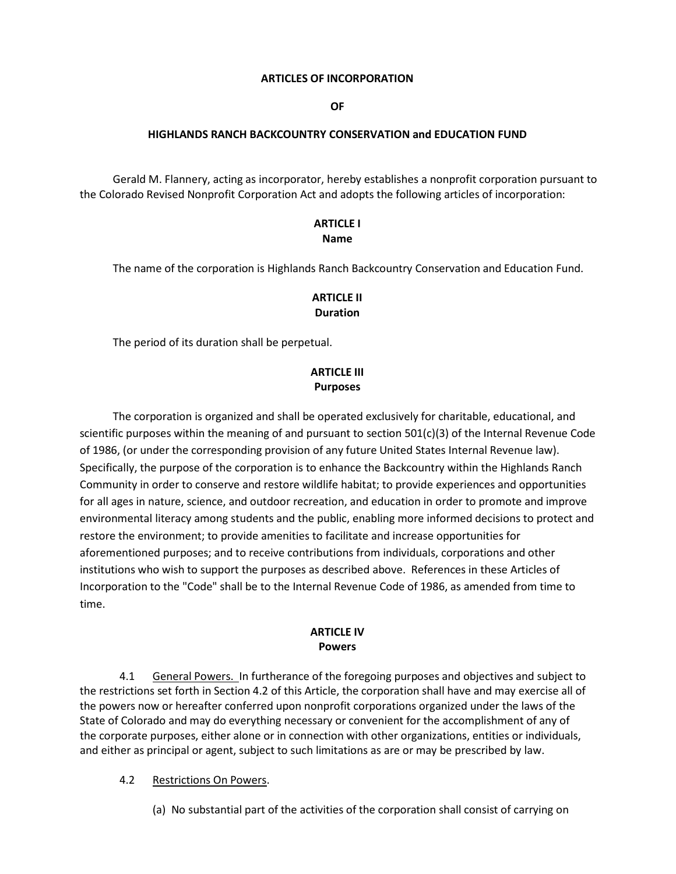#### **ARTICLES OF INCORPORATION**

**OF**

#### **HIGHLANDS RANCH BACKCOUNTRY CONSERVATION and EDUCATION FUND**

 Gerald M. Flannery, acting as incorporator, hereby establishes a nonprofit corporation pursuant to the Colorado Revised Nonprofit Corporation Act and adopts the following articles of incorporation:

### **ARTICLE I Name**

The name of the corporation is Highlands Ranch Backcountry Conservation and Education Fund.

## **ARTICLE II Duration**

The period of its duration shall be perpetual.

## **ARTICLE III Purposes**

 The corporation is organized and shall be operated exclusively for charitable, educational, and scientific purposes within the meaning of and pursuant to section 501(c)(3) of the Internal Revenue Code of 1986, (or under the corresponding provision of any future United States Internal Revenue law). Specifically, the purpose of the corporation is to enhance the Backcountry within the Highlands Ranch Community in order to conserve and restore wildlife habitat; to provide experiences and opportunities for all ages in nature, science, and outdoor recreation, and education in order to promote and improve environmental literacy among students and the public, enabling more informed decisions to protect and restore the environment; to provide amenities to facilitate and increase opportunities for aforementioned purposes; and to receive contributions from individuals, corporations and other institutions who wish to support the purposes as described above. References in these Articles of Incorporation to the "Code" shall be to the Internal Revenue Code of 1986, as amended from time to time.

### **ARTICLE IV Powers**

4.1 General Powers. In furtherance of the foregoing purposes and objectives and subject to the restrictions set forth in Section 4.2 of this Article, the corporation shall have and may exercise all of the powers now or hereafter conferred upon nonprofit corporations organized under the laws of the State of Colorado and may do everything necessary or convenient for the accomplishment of any of the corporate purposes, either alone or in connection with other organizations, entities or individuals, and either as principal or agent, subject to such limitations as are or may be prescribed by law.

#### 4.2 Restrictions On Powers.

(a) No substantial part of the activities of the corporation shall consist of carrying on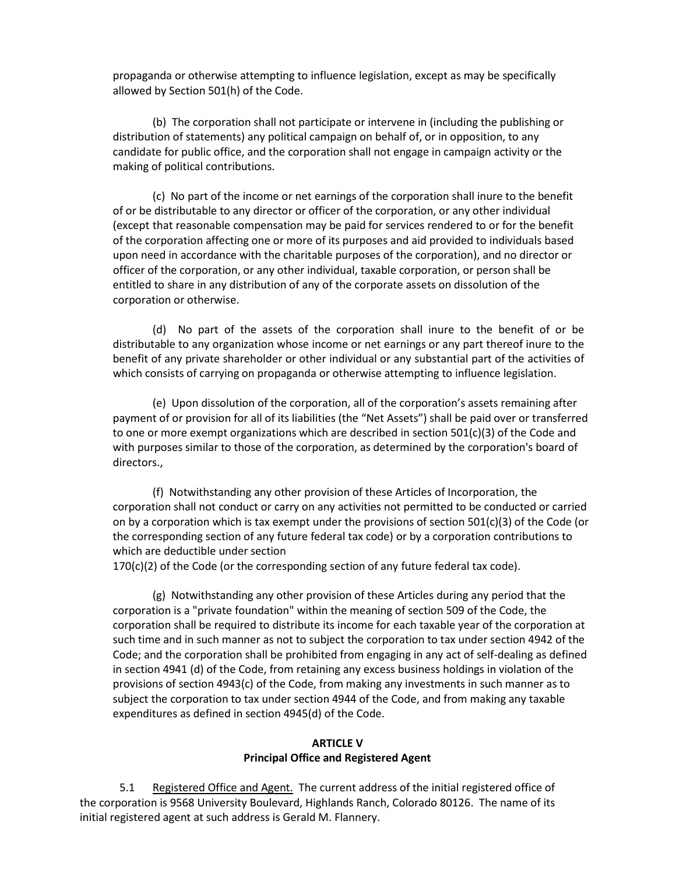propaganda or otherwise attempting to influence legislation, except as may be specifically allowed by Section 501(h) of the Code.

 (b) The corporation shall not participate or intervene in (including the publishing or distribution of statements) any political campaign on behalf of, or in opposition, to any candidate for public office, and the corporation shall not engage in campaign activity or the making of political contributions.

(c) No part of the income or net earnings of the corporation shall inure to the benefit of or be distributable to any director or officer of the corporation, or any other individual (except that reasonable compensation may be paid for services rendered to or for the benefit of the corporation affecting one or more of its purposes and aid provided to individuals based upon need in accordance with the charitable purposes of the corporation), and no director or officer of the corporation, or any other individual, taxable corporation, or person shall be entitled to share in any distribution of any of the corporate assets on dissolution of the corporation or otherwise.

 (d) No part of the assets of the corporation shall inure to the benefit of or be distributable to any organization whose income or net earnings or any part thereof inure to the benefit of any private shareholder or other individual or any substantial part of the activities of which consists of carrying on propaganda or otherwise attempting to influence legislation.

 (e) Upon dissolution of the corporation, all of the corporation's assets remaining after payment of or provision for all of its liabilities (the "Net Assets") shall be paid over or transferred to one or more exempt organizations which are described in section 501(c)(3) of the Code and with purposes similar to those of the corporation, as determined by the corporation's board of directors.,

(f) Notwithstanding any other provision of these Articles of Incorporation, the corporation shall not conduct or carry on any activities not permitted to be conducted or carried on by a corporation which is tax exempt under the provisions of section 501(c)(3) of the Code (or the corresponding section of any future federal tax code) or by a corporation contributions to which are deductible under section

170(c)(2) of the Code (or the corresponding section of any future federal tax code).

 (g) Notwithstanding any other provision of these Articles during any period that the corporation is a "private foundation" within the meaning of section 509 of the Code, the corporation shall be required to distribute its income for each taxable year of the corporation at such time and in such manner as not to subject the corporation to tax under section 4942 of the Code; and the corporation shall be prohibited from engaging in any act of self-dealing as defined in section 4941 (d) of the Code, from retaining any excess business holdings in violation of the provisions of section 4943(c) of the Code, from making any investments in such manner as to subject the corporation to tax under section 4944 of the Code, and from making any taxable expenditures as defined in section 4945(d) of the Code.

### **ARTICLE V Principal Office and Registered Agent**

5.1 Registered Office and Agent. The current address of the initial registered office of the corporation is 9568 University Boulevard, Highlands Ranch, Colorado 80126. The name of its initial registered agent at such address is Gerald M. Flannery.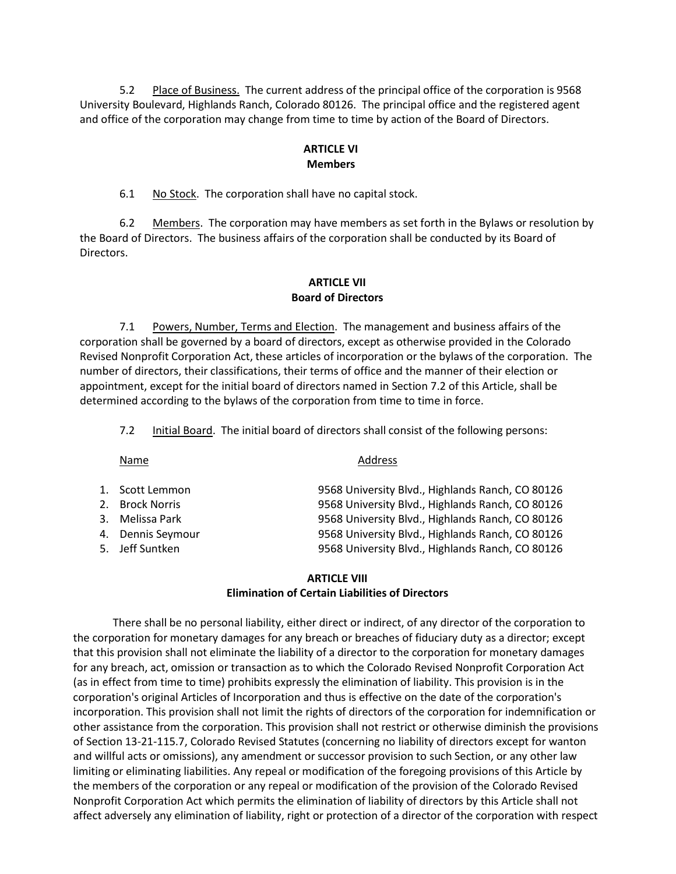5.2 Place of Business. The current address of the principal office of the corporation is 9568 University Boulevard, Highlands Ranch, Colorado 80126. The principal office and the registered agent and office of the corporation may change from time to time by action of the Board of Directors.

### **ARTICLE VI Members**

6.1 No Stock. The corporation shall have no capital stock.

 6.2 Members. The corporation may have members as set forth in the Bylaws or resolution by the Board of Directors. The business affairs of the corporation shall be conducted by its Board of Directors.

## **ARTICLE VII Board of Directors**

7.1 Powers, Number, Terms and Election. The management and business affairs of the corporation shall be governed by a board of directors, except as otherwise provided in the Colorado Revised Nonprofit Corporation Act, these articles of incorporation or the bylaws of the corporation. The number of directors, their classifications, their terms of office and the manner of their election or appointment, except for the initial board of directors named in Section 7.2 of this Article, shall be determined according to the bylaws of the corporation from time to time in force.

7.2 Initial Board. The initial board of directors shall consist of the following persons:

### Name Address

| 1. Scott Lemmon   | 9568 University Blvd., Highlands Ranch, CO 80126 |
|-------------------|--------------------------------------------------|
| 2. Brock Norris   | 9568 University Blvd., Highlands Ranch, CO 80126 |
| 3. Melissa Park   | 9568 University Blvd., Highlands Ranch, CO 80126 |
| 4. Dennis Seymour | 9568 University Blvd., Highlands Ranch, CO 80126 |
| 5. Jeff Suntken   | 9568 University Blvd., Highlands Ranch, CO 80126 |

#### **ARTICLE VIII Elimination of Certain Liabilities of Directors**

 There shall be no personal liability, either direct or indirect, of any director of the corporation to the corporation for monetary damages for any breach or breaches of fiduciary duty as a director; except that this provision shall not eliminate the liability of a director to the corporation for monetary damages for any breach, act, omission or transaction as to which the Colorado Revised Nonprofit Corporation Act (as in effect from time to time) prohibits expressly the elimination of liability. This provision is in the corporation's original Articles of Incorporation and thus is effective on the date of the corporation's incorporation. This provision shall not limit the rights of directors of the corporation for indemnification or other assistance from the corporation. This provision shall not restrict or otherwise diminish the provisions of Section 13-21-115.7, Colorado Revised Statutes (concerning no liability of directors except for wanton and willful acts or omissions), any amendment or successor provision to such Section, or any other law limiting or eliminating liabilities. Any repeal or modification of the foregoing provisions of this Article by the members of the corporation or any repeal or modification of the provision of the Colorado Revised Nonprofit Corporation Act which permits the elimination of liability of directors by this Article shall not affect adversely any elimination of liability, right or protection of a director of the corporation with respect